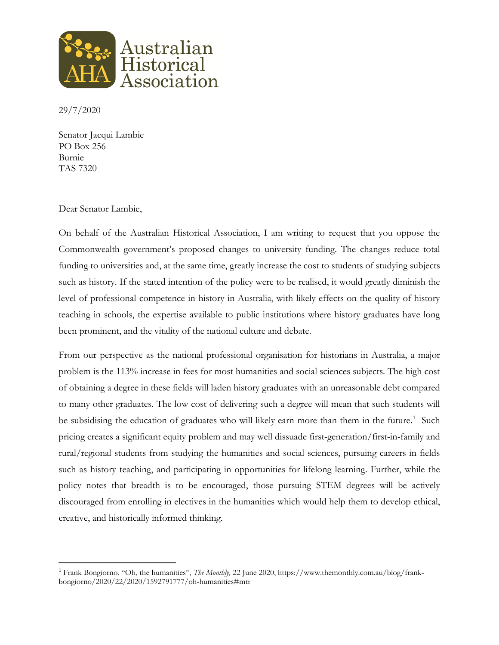

29/7/2020

Senator Jacqui Lambie PO Box 256 Burnie TAS 7320

## Dear Senator Lambie,

On behalf of the Australian Historical Association, I am writing to request that you oppose the Commonwealth government's proposed changes to university funding. The changes reduce total funding to universities and, at the same time, greatly increase the cost to students of studying subjects such as history. If the stated intention of the policy were to be realised, it would greatly diminish the level of professional competence in history in Australia, with likely effects on the quality of history teaching in schools, the expertise available to public institutions where history graduates have long been prominent, and the vitality of the national culture and debate.

From our perspective as the national professional organisation for historians in Australia, a major problem is the 113% increase in fees for most humanities and social sciences subjects. The high cost of obtaining a degree in these fields will laden history graduates with an unreasonable debt compared to many other graduates. The low cost of delivering such a degree will mean that such students will be subsidising the education of graduates who will likely earn more than them in the future.<sup>[1](#page-0-0)</sup> Such pricing creates a significant equity problem and may well dissuade first-generation/first-in-family and rural/regional students from studying the humanities and social sciences, pursuing careers in fields such as history teaching, and participating in opportunities for lifelong learning. Further, while the policy notes that breadth is to be encouraged, those pursuing STEM degrees will be actively discouraged from enrolling in electives in the humanities which would help them to develop ethical, creative, and historically informed thinking.

<span id="page-0-0"></span> <sup>1</sup> Frank Bongiorno, "Oh, the humanities", *The Monthly,* 22 June 2020, https://www.themonthly.com.au/blog/frankbongiorno/2020/22/2020/1592791777/oh-humanities#mtr